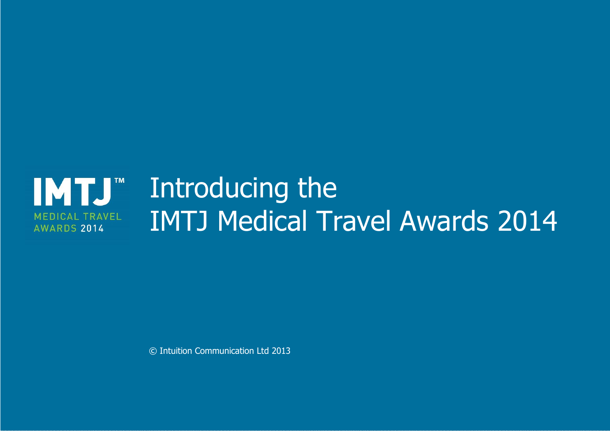

© Intuition Communication Ltd 2013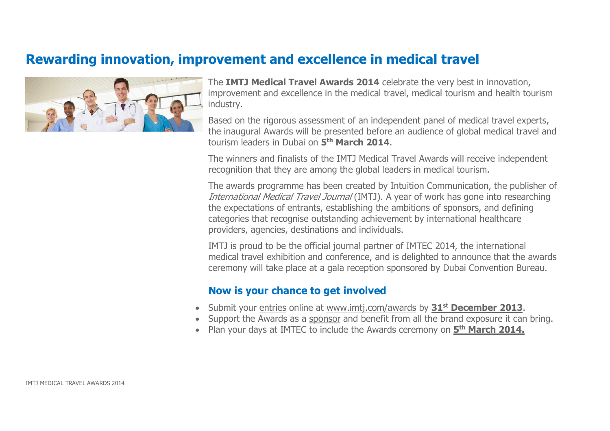## **Rewarding innovation, improvement and excellence in medical travel**



The **IMTJ Medical Travel Awards 2014** celebrate the very best in innovation, improvement and excellence in the medical travel, medical tourism and health tourism industry.

Based on the rigorous assessment of an independent panel of medical travel experts, the inaugural Awards will be presented before an audience of global medical travel and tourism leaders in Dubai on **5th March 2014**.

The winners and finalists of the IMTJ Medical Travel Awards will receive independent recognition that they are among the global leaders in medical tourism.

The awards programme has been created by Intuition Communication, the publisher of International Medical Travel Journal (IMTJ). A year of work has gone into researching the expectations of entrants, establishing the ambitions of sponsors, and defining categories that recognise outstanding achievement by international healthcare providers, agencies, destinations and individuals.

IMTJ is proud to be the official journal partner of IMTEC 2014, the international medical travel exhibition and conference, and is delighted to announce that the awards ceremony will take place at a gala reception sponsored by Dubai Convention Bureau.

### **Now is your chance to get involved**

- · Submit your entries online at www.imtj.com/awards by **31st December 2013**.
- Support the Awards as a sponsor and benefit from all the brand exposure it can bring.
- · Plan your days at IMTEC to include the Awards ceremony on **5th March 2014.**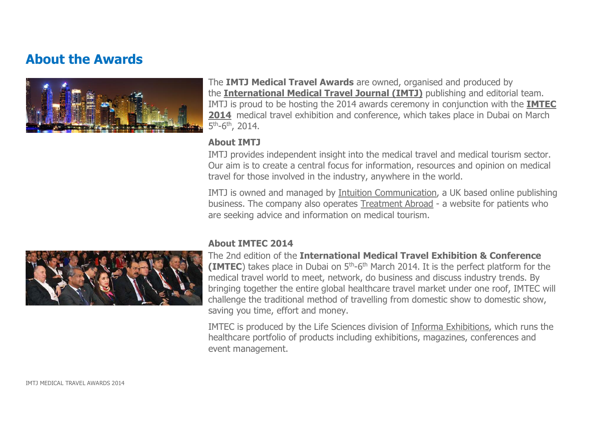## **About the Awards**



The **IMTJ Medical Travel Awards** are owned, organised and produced by the **International Medical Travel Journal (IMTJ)** publishing and editorial team. IMTJ is proud to be hosting the 2014 awards ceremony in conjunction with the **IMTEC**  2014 medical travel exhibition and conference, which takes place in Dubai on March 5th-6th, 2014.

#### **About IMTJ**

IMTJ provides independent insight into the medical travel and medical tourism sector. Our aim is to create a central focus for information, resources and opinion on medical travel for those involved in the industry, anywhere in the world.

IMTJ is owned and managed by Intuition Communication, a UK based online publishing business. The company also operates Treatment Abroad - a website for patients who are seeking advice and information on medical tourism.



#### **About IMTEC 2014**

The 2nd edition of the **International Medical Travel Exhibition & Conference (IMTEC**) takes place in Dubai on 5<sup>th</sup>-6<sup>th</sup> March 2014. It is the perfect platform for the medical travel world to meet, network, do business and discuss industry trends. By bringing together the entire global healthcare travel market under one roof, IMTEC will challenge the traditional method of travelling from domestic show to domestic show, saving you time, effort and money.

IMTEC is produced by the Life Sciences division of Informa Exhibitions, which runs the healthcare portfolio of products including exhibitions, magazines, conferences and event management.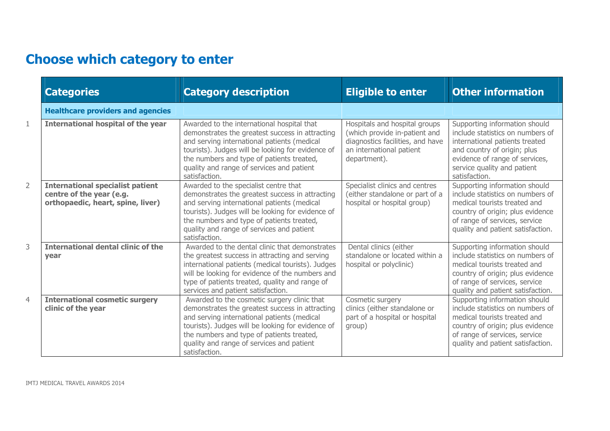# **Choose which category to enter**

|                | <b>Categories</b>                                                                                        | <b>Category description</b>                                                                                                                                                                                                                                                                                   | <b>Eligible to enter</b>                                                                                                                       | <b>Other information</b>                                                                                                                                                                                             |
|----------------|----------------------------------------------------------------------------------------------------------|---------------------------------------------------------------------------------------------------------------------------------------------------------------------------------------------------------------------------------------------------------------------------------------------------------------|------------------------------------------------------------------------------------------------------------------------------------------------|----------------------------------------------------------------------------------------------------------------------------------------------------------------------------------------------------------------------|
|                | <b>Healthcare providers and agencies</b>                                                                 |                                                                                                                                                                                                                                                                                                               |                                                                                                                                                |                                                                                                                                                                                                                      |
| 1              | <b>International hospital of the year</b>                                                                | Awarded to the international hospital that<br>demonstrates the greatest success in attracting<br>and serving international patients (medical<br>tourists). Judges will be looking for evidence of<br>the numbers and type of patients treated,<br>quality and range of services and patient<br>satisfaction.  | Hospitals and hospital groups<br>(which provide in-patient and<br>diagnostics facilities, and have<br>an international patient<br>department). | Supporting information should<br>include statistics on numbers of<br>international patients treated<br>and country of origin; plus<br>evidence of range of services,<br>service quality and patient<br>satisfaction. |
| $\overline{2}$ | <b>International specialist patient</b><br>centre of the year (e.g.<br>orthopaedic, heart, spine, liver) | Awarded to the specialist centre that<br>demonstrates the greatest success in attracting<br>and serving international patients (medical<br>tourists). Judges will be looking for evidence of<br>the numbers and type of patients treated,<br>quality and range of services and patient<br>satisfaction.       | Specialist clinics and centres<br>(either standalone or part of a<br>hospital or hospital group)                                               | Supporting information should<br>include statistics on numbers of<br>medical tourists treated and<br>country of origin; plus evidence<br>of range of services, service<br>quality and patient satisfaction.          |
| 3              | <b>International dental clinic of the</b><br>year                                                        | Awarded to the dental clinic that demonstrates<br>the greatest success in attracting and serving<br>international patients (medical tourists). Judges<br>will be looking for evidence of the numbers and<br>type of patients treated, quality and range of<br>services and patient satisfaction.              | Dental clinics (either<br>standalone or located within a<br>hospital or polyclinic)                                                            | Supporting information should<br>include statistics on numbers of<br>medical tourists treated and<br>country of origin; plus evidence<br>of range of services, service<br>quality and patient satisfaction.          |
| 4              | <b>International cosmetic surgery</b><br>clinic of the year                                              | Awarded to the cosmetic surgery clinic that<br>demonstrates the greatest success in attracting<br>and serving international patients (medical<br>tourists). Judges will be looking for evidence of<br>the numbers and type of patients treated,<br>quality and range of services and patient<br>satisfaction. | Cosmetic surgery<br>clinics (either standalone or<br>part of a hospital or hospital<br>group)                                                  | Supporting information should<br>include statistics on numbers of<br>medical tourists treated and<br>country of origin; plus evidence<br>of range of services, service<br>quality and patient satisfaction.          |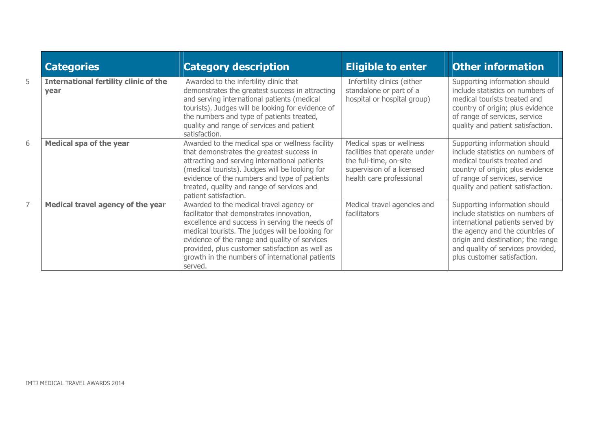|   | <b>Categories</b>                                    | <b>Category description</b>                                                                                                                                                                                                                                                                                                                                  | <b>Eligible to enter</b>                                                                                                                     | <b>Other information</b>                                                                                                                                                                                                                          |
|---|------------------------------------------------------|--------------------------------------------------------------------------------------------------------------------------------------------------------------------------------------------------------------------------------------------------------------------------------------------------------------------------------------------------------------|----------------------------------------------------------------------------------------------------------------------------------------------|---------------------------------------------------------------------------------------------------------------------------------------------------------------------------------------------------------------------------------------------------|
| 5 | <b>International fertility clinic of the</b><br>vear | Awarded to the infertility clinic that<br>demonstrates the greatest success in attracting<br>and serving international patients (medical<br>tourists). Judges will be looking for evidence of<br>the numbers and type of patients treated,<br>quality and range of services and patient<br>satisfaction.                                                     | Infertility clinics (either<br>standalone or part of a<br>hospital or hospital group)                                                        | Supporting information should<br>include statistics on numbers of<br>medical tourists treated and<br>country of origin; plus evidence<br>of range of services, service<br>quality and patient satisfaction.                                       |
| 6 | <b>Medical spa of the year</b>                       | Awarded to the medical spa or wellness facility<br>that demonstrates the greatest success in<br>attracting and serving international patients<br>(medical tourists). Judges will be looking for<br>evidence of the numbers and type of patients<br>treated, quality and range of services and<br>patient satisfaction.                                       | Medical spas or wellness<br>facilities that operate under<br>the full-time, on-site<br>supervision of a licensed<br>health care professional | Supporting information should<br>include statistics on numbers of<br>medical tourists treated and<br>country of origin; plus evidence<br>of range of services, service<br>quality and patient satisfaction.                                       |
|   | Medical travel agency of the year                    | Awarded to the medical travel agency or<br>facilitator that demonstrates innovation,<br>excellence and success in serving the needs of<br>medical tourists. The judges will be looking for<br>evidence of the range and quality of services<br>provided, plus customer satisfaction as well as<br>growth in the numbers of international patients<br>served. | Medical travel agencies and<br>facilitators                                                                                                  | Supporting information should<br>include statistics on numbers of<br>international patients served by<br>the agency and the countries of<br>origin and destination; the range<br>and quality of services provided,<br>plus customer satisfaction. |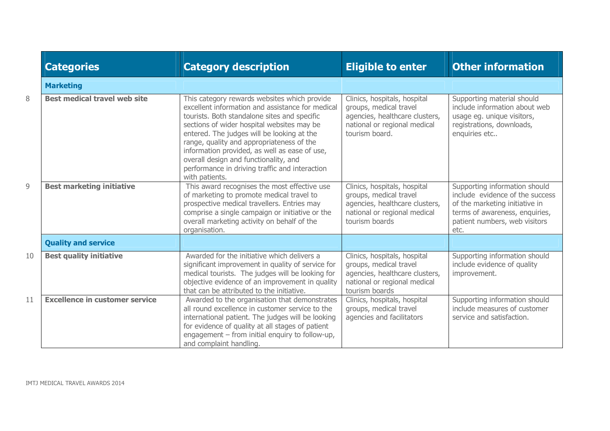|    | <b>Categories</b>                     | <b>Category description</b>                                                                                                                                                                                                                                                                                                                                                                                                                             | <b>Eligible to enter</b>                                                                                                                   | <b>Other information</b>                                                                                                                                                      |  |
|----|---------------------------------------|---------------------------------------------------------------------------------------------------------------------------------------------------------------------------------------------------------------------------------------------------------------------------------------------------------------------------------------------------------------------------------------------------------------------------------------------------------|--------------------------------------------------------------------------------------------------------------------------------------------|-------------------------------------------------------------------------------------------------------------------------------------------------------------------------------|--|
|    | <b>Marketing</b>                      |                                                                                                                                                                                                                                                                                                                                                                                                                                                         |                                                                                                                                            |                                                                                                                                                                               |  |
| 8  | <b>Best medical travel web site</b>   | This category rewards websites which provide<br>excellent information and assistance for medical<br>tourists. Both standalone sites and specific<br>sections of wider hospital websites may be<br>entered. The judges will be looking at the<br>range, quality and appropriateness of the<br>information provided, as well as ease of use,<br>overall design and functionality, and<br>performance in driving traffic and interaction<br>with patients. | Clinics, hospitals, hospital<br>groups, medical travel<br>agencies, healthcare clusters,<br>national or regional medical<br>tourism board. | Supporting material should<br>include information about web<br>usage eg. unique visitors,<br>registrations, downloads,<br>enquiries etc                                       |  |
| g  | <b>Best marketing initiative</b>      | This award recognises the most effective use<br>of marketing to promote medical travel to<br>prospective medical travellers. Entries may<br>comprise a single campaign or initiative or the<br>overall marketing activity on behalf of the<br>organisation.                                                                                                                                                                                             | Clinics, hospitals, hospital<br>groups, medical travel<br>agencies, healthcare clusters,<br>national or regional medical<br>tourism boards | Supporting information should<br>include evidence of the success<br>of the marketing initiative in<br>terms of awareness, enquiries,<br>patient numbers, web visitors<br>etc. |  |
|    | <b>Quality and service</b>            |                                                                                                                                                                                                                                                                                                                                                                                                                                                         |                                                                                                                                            |                                                                                                                                                                               |  |
| 10 | <b>Best quality initiative</b>        | Awarded for the initiative which delivers a<br>significant improvement in quality of service for<br>medical tourists. The judges will be looking for<br>objective evidence of an improvement in quality<br>that can be attributed to the initiative.                                                                                                                                                                                                    | Clinics, hospitals, hospital<br>groups, medical travel<br>agencies, healthcare clusters,<br>national or regional medical<br>tourism boards | Supporting information should<br>include evidence of quality<br>improvement.                                                                                                  |  |
| 11 | <b>Excellence in customer service</b> | Awarded to the organisation that demonstrates<br>all round excellence in customer service to the<br>international patient. The judges will be looking<br>for evidence of quality at all stages of patient<br>engagement - from initial enguiry to follow-up,<br>and complaint handling.                                                                                                                                                                 | Clinics, hospitals, hospital<br>groups, medical travel<br>agencies and facilitators                                                        | Supporting information should<br>include measures of customer<br>service and satisfaction.                                                                                    |  |

IMTJ MEDICAL TRAVEL AWARDS 2014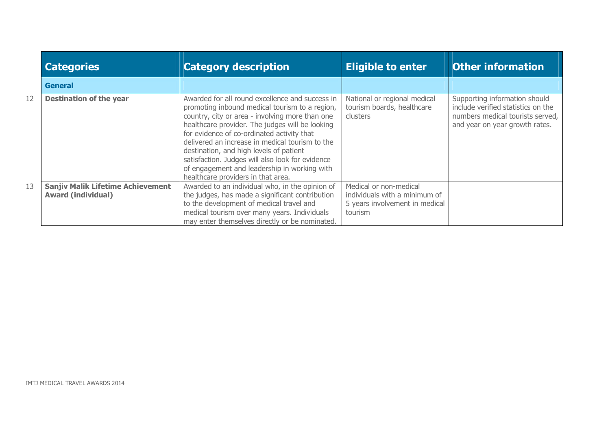|    | <b>Categories</b>                                                     | <b>Category description</b>                                                                                                                                                                                                                                                                                                                                                                                                                                                                   | <b>Eligible to enter</b>                                                                             | <b>Other information</b>                                                                                                                  |
|----|-----------------------------------------------------------------------|-----------------------------------------------------------------------------------------------------------------------------------------------------------------------------------------------------------------------------------------------------------------------------------------------------------------------------------------------------------------------------------------------------------------------------------------------------------------------------------------------|------------------------------------------------------------------------------------------------------|-------------------------------------------------------------------------------------------------------------------------------------------|
|    | <b>General</b>                                                        |                                                                                                                                                                                                                                                                                                                                                                                                                                                                                               |                                                                                                      |                                                                                                                                           |
| 12 | <b>Destination of the year</b>                                        | Awarded for all round excellence and success in<br>promoting inbound medical tourism to a region,<br>country, city or area - involving more than one<br>healthcare provider. The judges will be looking<br>for evidence of co-ordinated activity that<br>delivered an increase in medical tourism to the<br>destination, and high levels of patient<br>satisfaction. Judges will also look for evidence<br>of engagement and leadership in working with<br>healthcare providers in that area. | National or regional medical<br>tourism boards, healthcare<br>clusters                               | Supporting information should<br>include verified statistics on the<br>numbers medical tourists served,<br>and year on year growth rates. |
| 13 | <b>Sanjiv Malik Lifetime Achievement</b><br><b>Award (individual)</b> | Awarded to an individual who, in the opinion of<br>the judges, has made a significant contribution<br>to the development of medical travel and<br>medical tourism over many years. Individuals<br>may enter themselves directly or be nominated.                                                                                                                                                                                                                                              | Medical or non-medical<br>individuals with a minimum of<br>5 years involvement in medical<br>tourism |                                                                                                                                           |